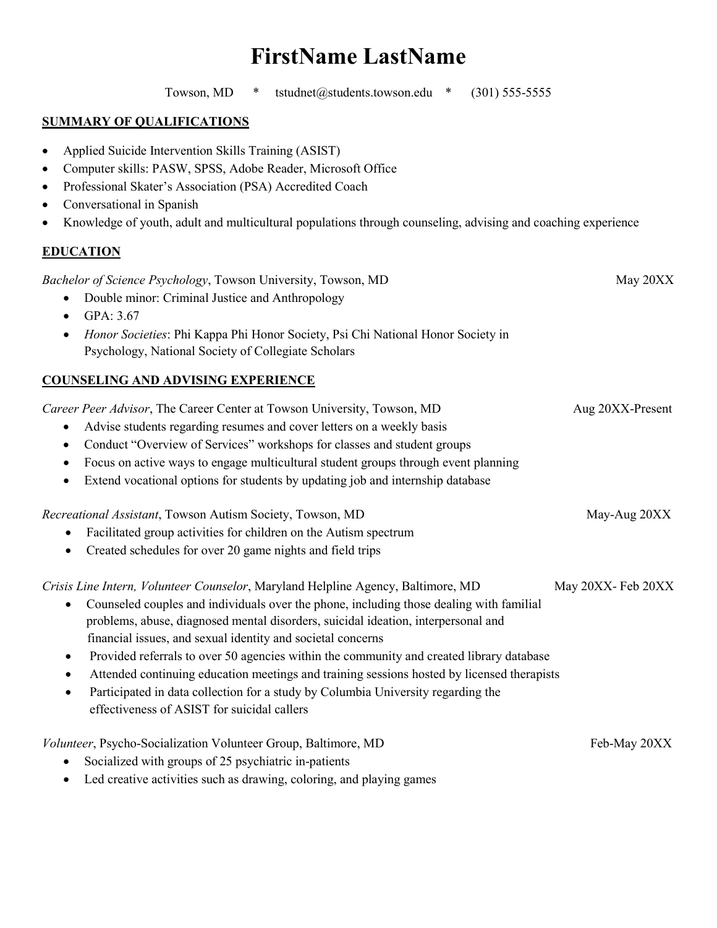# **FirstName LastName**

Towson, MD  $*$  tstudnet@students.towson.edu  $*$  (301) 555-5555

#### **SUMMARY OF QUALIFICATIONS**

- Applied Suicide Intervention Skills Training (ASIST)
- Computer skills: PASW, SPSS, Adobe Reader, Microsoft Office
- Professional Skater's Association (PSA) Accredited Coach
- Conversational in Spanish
- Knowledge of youth, adult and multicultural populations through counseling, advising and coaching experience

### **EDUCATION**

*Bachelor of Science Psychology*, Towson University, Towson, MD May 20XX

- Double minor: Criminal Justice and Anthropology
- GPA: 3.67
- *Honor Societies*: Phi Kappa Phi Honor Society, Psi Chi National Honor Society in Psychology, National Society of Collegiate Scholars

## **COUNSELING AND ADVISING EXPERIENCE**

| Career Peer Advisor, The Career Center at Towson University, Towson, MD | Aug 20XX-Present |
|-------------------------------------------------------------------------|------------------|
|                                                                         |                  |

- Advise students regarding resumes and cover letters on a weekly basis
- Conduct "Overview of Services" workshops for classes and student groups
- Focus on active ways to engage multicultural student groups through event planning
- Extend vocational options for students by updating job and internship database

*Recreational Assistant*, Towson Autism Society, Towson, MD May-Aug 20XX

- Facilitated group activities for children on the Autism spectrum
- Created schedules for over 20 game nights and field trips

*Crisis Line Intern, Volunteer Counselor*, Maryland Helpline Agency, Baltimore, MD May 20XX- Feb 20XX

- Counseled couples and individuals over the phone, including those dealing with familial problems, abuse, diagnosed mental disorders, suicidal ideation, interpersonal and financial issues, and sexual identity and societal concerns
- Provided referrals to over 50 agencies within the community and created library database
- Attended continuing education meetings and training sessions hosted by licensed therapists
- Participated in data collection for a study by Columbia University regarding the effectiveness of ASIST for suicidal callers

*Volunteer*, Psycho-Socialization Volunteer Group, Baltimore, MD Feb-May 20XX

- Socialized with groups of 25 psychiatric in-patients
- Led creative activities such as drawing, coloring, and playing games